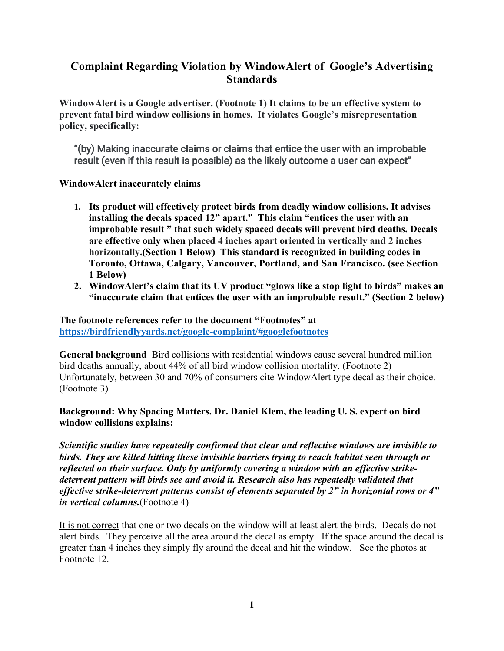## **Complaint Regarding Violation by WindowAlert of Google's Advertising Standards**

**WindowAlert is a Google advertiser. (Footnote 1) It claims to be an effective system to prevent fatal bird window collisions in homes. It violates Google's misrepresentation policy, specifically:**

"(by) Making inaccurate claims or claims that entice the user with an improbable result (even if this result is possible) as the likely outcome a user can expect"

**WindowAlert inaccurately claims**

- **1. Its product will effectively protect birds from deadly window collisions. It advises installing the decals spaced 12" apart." This claim "entices the user with an improbable result " that such widely spaced decals will prevent bird deaths. Decals are effective only when placed 4 inches apart oriented in vertically and 2 inches horizontally.(Section 1 Below) This standard is recognized in building codes in Toronto, Ottawa, Calgary, Vancouver, Portland, and San Francisco. (see Section 1 Below)**
- **2. WindowAlert's claim that its UV product "glows like a stop light to birds" makes an "inaccurate claim that entices the user with an improbable result." (Section 2 below)**

## **The footnote references refer to the document "Footnotes" at [https://birdfriendlyyards.net/google-complaint/#googlefootnotes](https://birdfriendlyyards.net/google-complaint/%23googlefootnotes)**

**General background** Bird collisions with residential windows cause several hundred million bird deaths annually, about 44% of all bird window collision mortality. (Footnote 2) Unfortunately, between 30 and 70% of consumers cite WindowAlert type decal as their choice. (Footnote 3)

## **Background: Why Spacing Matters. Dr. Daniel Klem, the leading U. S. expert on bird window collisions explains:**

*Scientific studies have repeatedly confirmed that clear and reflective windows are invisible to birds. They are killed hitting these invisible barriers trying to reach habitat seen through or reflected on their surface. Only by uniformly covering a window with an effective strikedeterrent pattern will birds see and avoid it. Research also has repeatedly validated that effective strike-deterrent patterns consist of elements separated by 2" in horizontal rows or 4" in vertical columns.*(Footnote 4)

It is not correct that one or two decals on the window will at least alert the birds. Decals do not alert birds. They perceive all the area around the decal as empty. If the space around the decal is greater than 4 inches they simply fly around the decal and hit the window. See the photos at Footnote 12.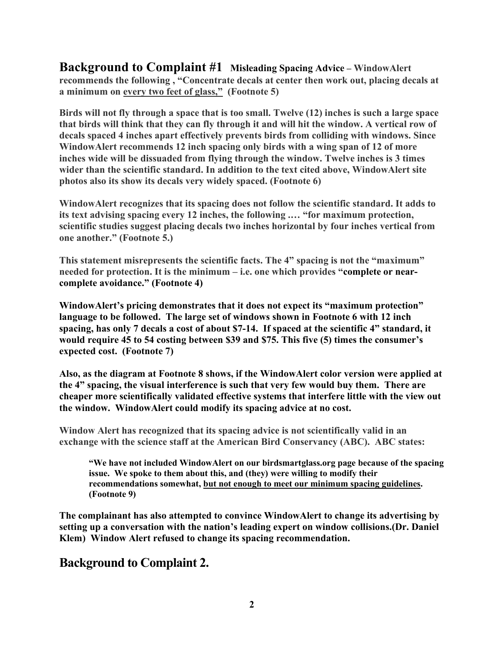**Background to Complaint #1 Misleading Spacing Advice – WindowAlert recommends the following , "Concentrate decals at center then work out, placing decals at a minimum on every two feet of glass," (Footnote 5)**

**Birds will not fly through a space that is too small. Twelve (12) inches is such a large space that birds will think that they can fly through it and will hit the window. A vertical row of decals spaced 4 inches apart effectively prevents birds from colliding with windows. Since WindowAlert recommends 12 inch spacing only birds with a wing span of 12 of more inches wide will be dissuaded from flying through the window. Twelve inches is 3 times wider than the scientific standard. In addition to the text cited above, WindowAlert site photos also its show its decals very widely spaced. (Footnote 6)**

**WindowAlert recognizes that its spacing does not follow the scientific standard. It adds to its text advising spacing every 12 inches, the following .… "for maximum protection, scientific studies suggest placing decals two inches horizontal by four inches vertical from one another." (Footnote 5.)**

**This statement misrepresents the scientific facts. The 4" spacing is not the "maximum" needed for protection. It is the minimum – i.e. one which provides "complete or nearcomplete avoidance." (Footnote 4)**

**WindowAlert's pricing demonstrates that it does not expect its "maximum protection" language to be followed. The large set of windows shown in Footnote 6 with 12 inch spacing, has only 7 decals a cost of about \$7-14. If spaced at the scientific 4" standard, it would require 45 to 54 costing between \$39 and \$75. This five (5) times the consumer's expected cost. (Footnote 7)**

**Also, as the diagram at Footnote 8 shows, if the WindowAlert color version were applied at the 4" spacing, the visual interference is such that very few would buy them. There are cheaper more scientifically validated effective systems that interfere little with the view out the window. WindowAlert could modify its spacing advice at no cost.**

**Window Alert has recognized that its spacing advice is not scientifically valid in an exchange with the science staff at the American Bird Conservancy (ABC). ABC states:**

**"We have not included WindowAlert on our birdsmartglass.org page because of the spacing issue. We spoke to them about this, and (they) were willing to modify their recommendations somewhat, but not enough to meet our minimum spacing guidelines. (Footnote 9)**

**The complainant has also attempted to convince WindowAlert to change its advertising by setting up a conversation with the nation's leading expert on window collisions.(Dr. Daniel Klem) Window Alert refused to change its spacing recommendation.**

## **Background to Complaint 2.**